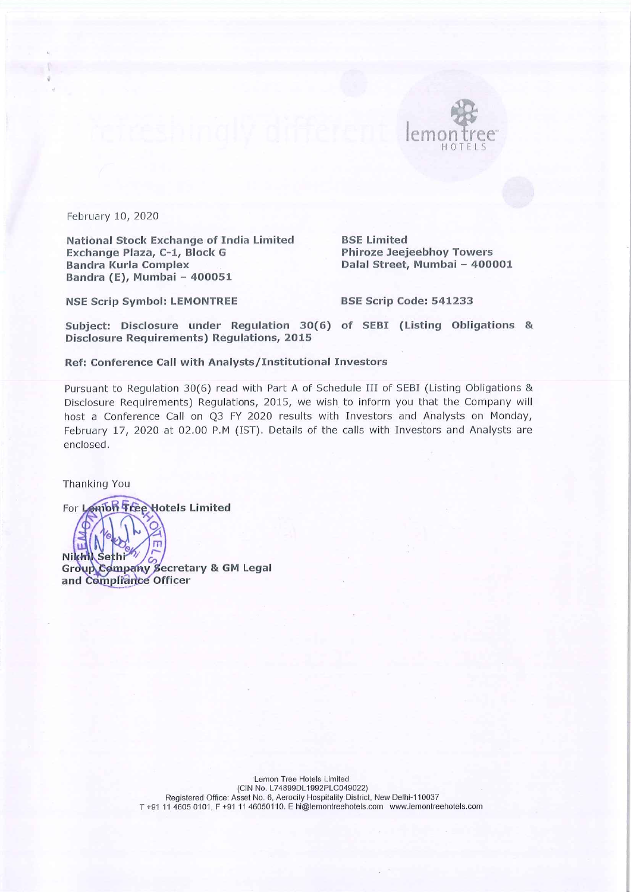

February 10, 2020

**National Stock Exchange of India Limited** Exchange Plaza, C-1, Block G **Bandra Kurla Complex** Bandra (E), Mumbai - 400051

**BSE Limited Phiroze Jeejeebhoy Towers** Dalal Street, Mumbai - 400001

**NSE Scrip Symbol: LEMONTREE** 

BSE Scrip Code: 541233

Subject: Disclosure under Regulation 30(6) of SEBI (Listing Obligations & **Disclosure Requirements) Regulations, 2015** 

#### Ref: Conference Call with Analysts/Institutional Investors

Pursuant to Regulation 30(6) read with Part A of Schedule III of SEBI (Listing Obligations & Disclosure Requirements) Regulations, 2015, we wish to inform you that the Company will host a Conference Call on Q3 FY 2020 results with Investors and Analysts on Monday, February 17, 2020 at 02.00 P.M (IST). Details of the calls with Investors and Analysts are enclosed.

Thanking You

For Lemon Tree Hotels Limited Nikhil Sethi Group Company Secretary & GM Legal and Compliance Officer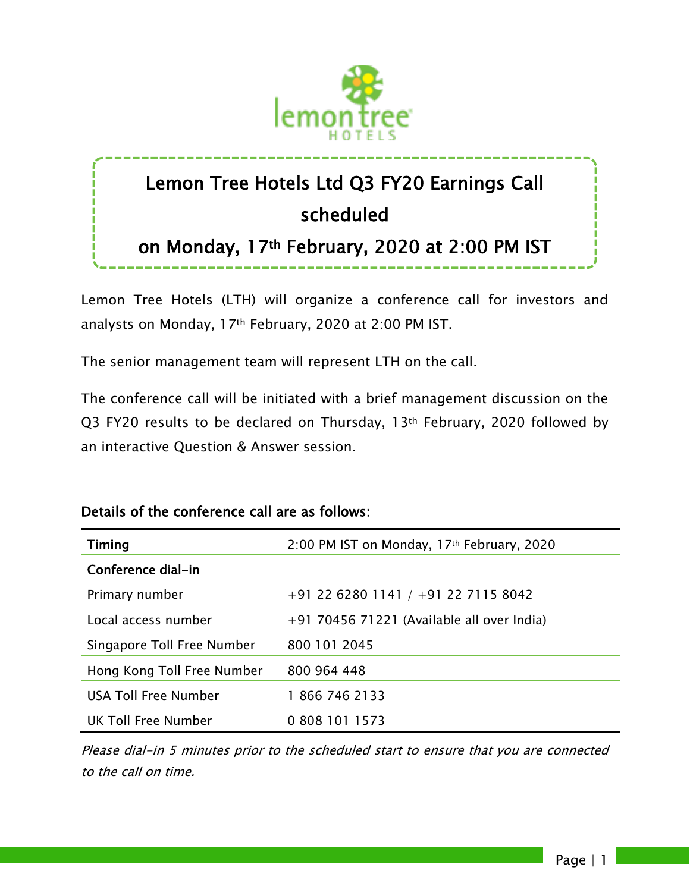

# Lemon Tree Hotels Ltd Q3 FY20 Earnings Call scheduled

# on Monday, 17th February, 2020 at 2:00 PM IST

Lemon Tree Hotels (LTH) will organize a conference call for investors and analysts on Monday, 17th February, 2020 at 2:00 PM IST.

The senior management team will represent LTH on the call.

The conference call will be initiated with a brief management discussion on the Q3 FY20 results to be declared on Thursday, 13<sup>th</sup> February, 2020 followed by an interactive Question & Answer session.

## Details of the conference call are as follows:

| <b>Timing</b>              | 2:00 PM IST on Monday, 17th February, 2020   |
|----------------------------|----------------------------------------------|
| Conference dial-in         |                                              |
| Primary number             | +91 22 6280 1141 / +91 22 7115 8042          |
| Local access number        | $+91$ 70456 71221 (Available all over India) |
| Singapore Toll Free Number | 800 101 2045                                 |
| Hong Kong Toll Free Number | 800 964 448                                  |
| USA Toll Free Number       | 18667462133                                  |
| UK Toll Free Number        | 0 808 101 1573                               |

Please dial-in 5 minutes prior to the scheduled start to ensure that you are connected to the call on time.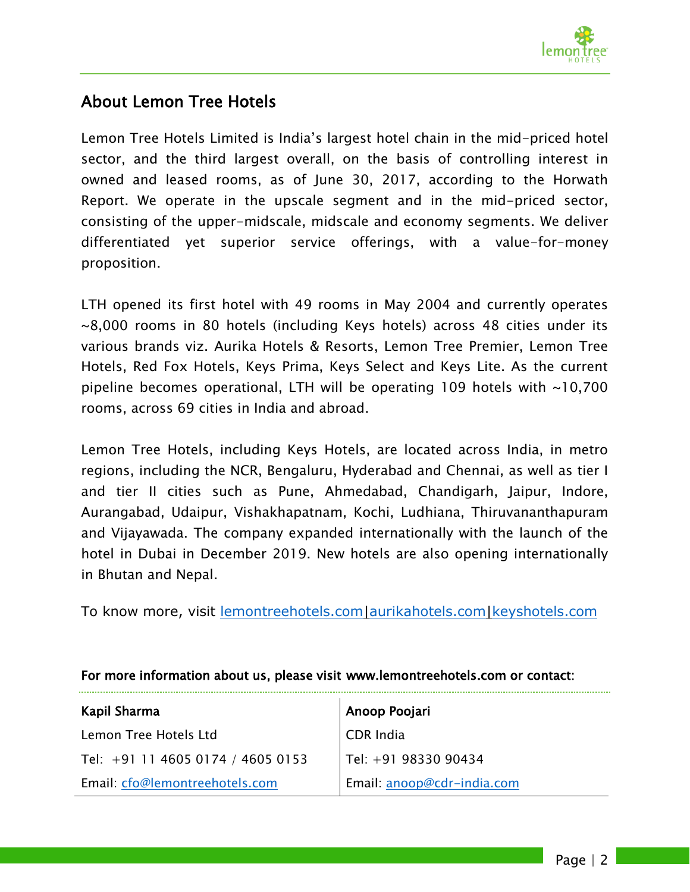

# About Lemon Tree Hotels

Lemon Tree Hotels Limited is India's largest hotel chain in the mid-priced hotel sector, and the third largest overall, on the basis of controlling interest in owned and leased rooms, as of June 30, 2017, according to the Horwath Report. We operate in the upscale segment and in the mid-priced sector, consisting of the upper-midscale, midscale and economy segments. We deliver differentiated yet superior service offerings, with a value-for-money proposition.

LTH opened its first hotel with 49 rooms in May 2004 and currently operates ~8,000 rooms in 80 hotels (including Keys hotels) across 48 cities under its various brands viz. Aurika Hotels & Resorts, Lemon Tree Premier, Lemon Tree Hotels, Red Fox Hotels, Keys Prima, Keys Select and Keys Lite. As the current pipeline becomes operational, LTH will be operating 109 hotels with ~10,700 rooms, across 69 cities in India and abroad.

Lemon Tree Hotels, including Keys Hotels, are located across India, in metro regions, including the NCR, Bengaluru, Hyderabad and Chennai, as well as tier I and tier II cities such as Pune, Ahmedabad, Chandigarh, Jaipur, Indore, Aurangabad, Udaipur, Vishakhapatnam, Kochi, Ludhiana, Thiruvananthapuram and Vijayawada. The company expanded internationally with the launch of the hotel in Dubai in December 2019. New hotels are also opening internationally in Bhutan and Nepal.

To know more, visit [lemontreehotels.com|](https://www.lemontreehotels.com/)[aurikahotels.com|](https://www.aurikahotels.com/)[keyshotels.com](https://www.keyshotels.com/)

| Kapil Sharma                        | Anoop Poojari              |
|-------------------------------------|----------------------------|
| Lemon Tree Hotels Ltd               | CDR India                  |
| Tel: $+91$ 11 4605 0174 / 4605 0153 | $ $ Tel: +91 98330 90434   |
| Email: cfo@lemontreehotels.com      | Email: anoop@cdr-india.com |

### For more information about us, please visit www.lemontreehotels.com or contact: